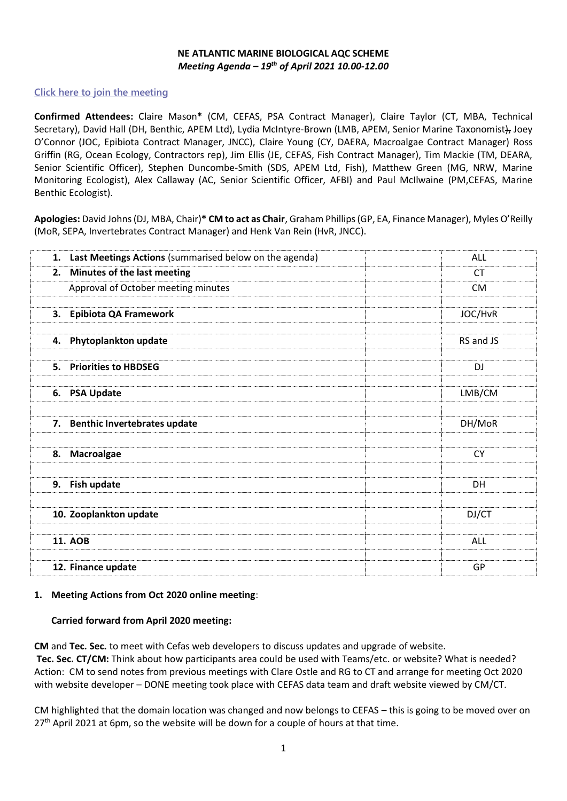#### **NE ATLANTIC MARINE BIOLOGICAL AQC SCHEME**  *Meeting Agenda – 19th of April 2021 10.00-12.00*

# **[Click here to join the meeting](https://teams.microsoft.com/l/meetup-join/19%3ameeting_ODRkN2JkMTMtMDYzZC00ZDA5LWIxMTctZmNiNWJmZmMzOWQx%40thread.v2/0?context=%7b%22Tid%22%3a%228f72cb4b-fef3-4e28-b2db-8876027b0b99%22%2c%22Oid%22%3a%224ff699e4-c6f2-4e5c-ba8a-0379390ec1eb%22%7d)**

**Confirmed Attendees:** Claire Mason**\*** (CM, CEFAS, PSA Contract Manager), Claire Taylor (CT, MBA, Technical Secretary), David Hall (DH, Benthic, APEM Ltd), Lydia McIntyre-Brown (LMB, APEM, Senior Marine Taxonomist), Joey O'Connor (JOC, Epibiota Contract Manager, JNCC), Claire Young (CY, DAERA, Macroalgae Contract Manager) Ross Griffin (RG, Ocean Ecology, Contractors rep), Jim Ellis (JE, CEFAS, Fish Contract Manager), Tim Mackie (TM, DEARA, Senior Scientific Officer), Stephen Duncombe-Smith (SDS, APEM Ltd, Fish), Matthew Green (MG, NRW, Marine Monitoring Ecologist), Alex Callaway (AC, Senior Scientific Officer, AFBI) and Paul McIlwaine (PM,CEFAS, Marine Benthic Ecologist).

**Apologies:** David Johns (DJ, MBA, Chair)**\* CM to act as Chair**, Graham Phillips (GP, EA, Finance Manager), Myles O'Reilly (MoR, SEPA, Invertebrates Contract Manager) and Henk Van Rein (HvR, JNCC).

| Last Meetings Actions (summarised below on the agenda)<br>1. | <b>ALL</b> |
|--------------------------------------------------------------|------------|
| Minutes of the last meeting<br>2.                            | <b>CT</b>  |
| Approval of October meeting minutes                          | <b>CM</b>  |
|                                                              |            |
| 3. Epibiota QA Framework                                     | JOC/HvR    |
|                                                              |            |
| 4. Phytoplankton update                                      | RS and JS  |
|                                                              |            |
| <b>Priorities to HBDSEG</b><br>5.                            | DJ         |
|                                                              |            |
| 6. PSA Update                                                | LMB/CM     |
|                                                              |            |
| 7. Benthic Invertebrates update                              | DH/MoR     |
|                                                              |            |
| 8. Macroalgae                                                | <b>CY</b>  |
|                                                              |            |
| Fish update<br>9.                                            | DH         |
|                                                              |            |
| 10. Zooplankton update                                       | DJ/CT      |
|                                                              |            |
| <b>11. AOB</b>                                               | ALL        |
|                                                              |            |
| 12. Finance update                                           | GP         |

#### **1. Meeting Actions from Oct 2020 online meeting**:

#### **Carried forward from April 2020 meeting:**

**CM** and **Tec. Sec.** to meet with Cefas web developers to discuss updates and upgrade of website. **Tec. Sec. CT/CM:** Think about how participants area could be used with Teams/etc. or website? What is needed? Action: CM to send notes from previous meetings with Clare Ostle and RG to CT and arrange for meeting Oct 2020 with website developer – DONE meeting took place with CEFAS data team and draft website viewed by CM/CT.

CM highlighted that the domain location was changed and now belongs to CEFAS – this is going to be moved over on  $27<sup>th</sup>$  April 2021 at 6pm, so the website will be down for a couple of hours at that time.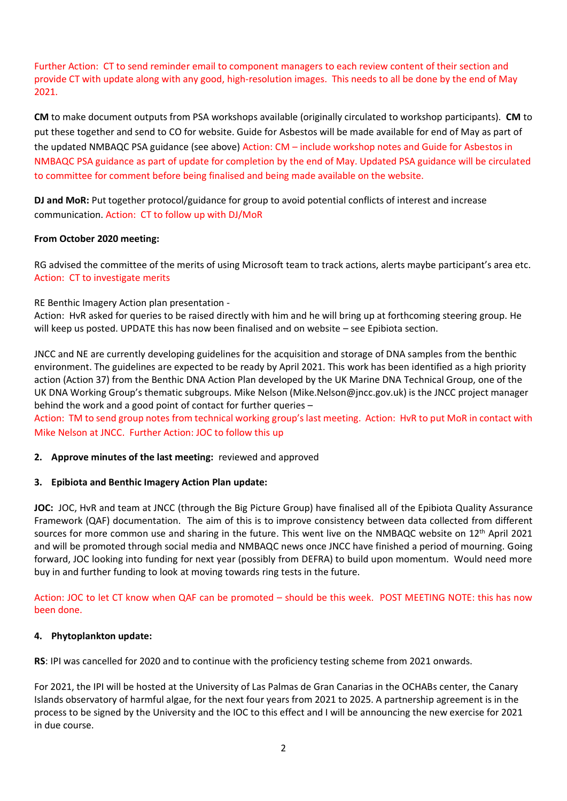Further Action: CT to send reminder email to component managers to each review content of their section and provide CT with update along with any good, high-resolution images. This needs to all be done by the end of May 2021.

**CM** to make document outputs from PSA workshops available (originally circulated to workshop participants). **CM** to put these together and send to CO for website. Guide for Asbestos will be made available for end of May as part of the updated NMBAQC PSA guidance (see above) Action: CM – include workshop notes and Guide for Asbestos in NMBAQC PSA guidance as part of update for completion by the end of May. Updated PSA guidance will be circulated to committee for comment before being finalised and being made available on the website.

**DJ and MoR:** Put together protocol/guidance for group to avoid potential conflicts of interest and increase communication. Action: CT to follow up with DJ/MoR

## **From October 2020 meeting:**

RG advised the committee of the merits of using Microsoft team to track actions, alerts maybe participant's area etc. Action: CT to investigate merits

RE Benthic Imagery Action plan presentation -

Action: HvR asked for queries to be raised directly with him and he will bring up at forthcoming steering group. He will keep us posted. UPDATE this has now been finalised and on website – see Epibiota section.

JNCC and NE are currently developing guidelines for the acquisition and storage of DNA samples from the benthic environment. The guidelines are expected to be ready by April 2021. This work has been identified as a high priority action (Action 37) from the Benthic DNA Action Plan developed by the UK Marine DNA Technical Group, one of the UK DNA Working Group's thematic subgroups. Mike Nelson (Mike.Nelson@jncc.gov.uk) is the JNCC project manager behind the work and a good point of contact for further queries –

Action: TM to send group notes from technical working group's last meeting. Action: HvR to put MoR in contact with Mike Nelson at JNCC. Further Action: JOC to follow this up

#### **2. Approve minutes of the last meeting:** reviewed and approved

#### **3. Epibiota and Benthic Imagery Action Plan update:**

**JOC:** JOC, HvR and team at JNCC (through the Big Picture Group) have finalised all of the Epibiota Quality Assurance Framework (QAF) documentation. The aim of this is to improve consistency between data collected from different sources for more common use and sharing in the future. This went live on the NMBAQC website on 12<sup>th</sup> April 2021 and will be promoted through social media and NMBAQC news once JNCC have finished a period of mourning. Going forward, JOC looking into funding for next year (possibly from DEFRA) to build upon momentum. Would need more buy in and further funding to look at moving towards ring tests in the future.

Action: JOC to let CT know when QAF can be promoted – should be this week. POST MEETING NOTE: this has now been done.

#### **4. Phytoplankton update:**

**RS**: IPI was cancelled for 2020 and to continue with the proficiency testing scheme from 2021 onwards.

For 2021, the IPI will be hosted at the University of Las Palmas de Gran Canarias in the OCHABs center, the Canary Islands observatory of harmful algae, for the next four years from 2021 to 2025. A partnership agreement is in the process to be signed by the University and the IOC to this effect and I will be announcing the new exercise for 2021 in due course.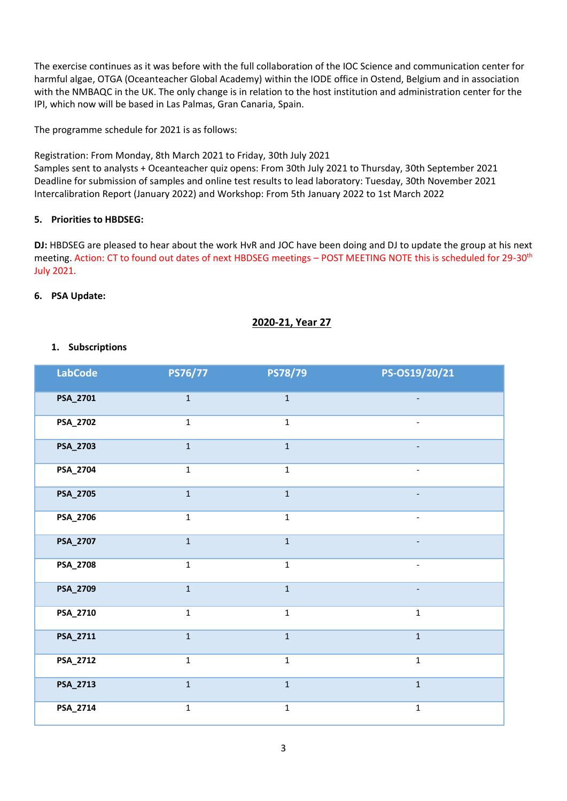The exercise continues as it was before with the full collaboration of the IOC Science and communication center for harmful algae, OTGA (Oceanteacher Global Academy) within the IODE office in Ostend, Belgium and in association with the NMBAQC in the UK. The only change is in relation to the host institution and administration center for the IPI, which now will be based in Las Palmas, Gran Canaria, Spain.

The programme schedule for 2021 is as follows:

Registration: From Monday, 8th March 2021 to Friday, 30th July 2021

Samples sent to analysts + Oceanteacher quiz opens: From 30th July 2021 to Thursday, 30th September 2021 Deadline for submission of samples and online test results to lead laboratory: Tuesday, 30th November 2021 Intercalibration Report (January 2022) and Workshop: From 5th January 2022 to 1st March 2022

## **5. Priorities to HBDSEG:**

**DJ:** HBDSEG are pleased to hear about the work HvR and JOC have been doing and DJ to update the group at his next meeting. Action: CT to found out dates of next HBDSEG meetings – POST MEETING NOTE this is scheduled for 29-30<sup>th</sup> July 2021.

## **6. PSA Update:**

# **2020-21, Year 27**

## **1. Subscriptions**

| <b>LabCode</b> | PS76/77      | PS78/79      | PS-OS19/20/21            |
|----------------|--------------|--------------|--------------------------|
| PSA_2701       | $\mathbf 1$  | $\mathbf 1$  | $\overline{\phantom{0}}$ |
| PSA_2702       | $\mathbf 1$  | $\mathbf 1$  | $\qquad \qquad -$        |
| PSA_2703       | $\mathbf{1}$ | $\mathbf{1}$ |                          |
| PSA_2704       | $\mathbf 1$  | $\mathbf 1$  | $\qquad \qquad -$        |
| PSA_2705       | $\mathbf 1$  | $\mathbf 1$  |                          |
| PSA_2706       | $\mathbf 1$  | $\mathbf 1$  | $\qquad \qquad -$        |
| PSA_2707       | $\mathbf{1}$ | $\mathbf{1}$ |                          |
| PSA_2708       | $\mathbf 1$  | $\mathbf 1$  | $\frac{1}{2}$            |
| PSA_2709       | $\mathbf{1}$ | $\mathbf{1}$ |                          |
| PSA_2710       | $\mathbf 1$  | $\mathbf 1$  | $\mathbf 1$              |
| PSA_2711       | $\mathbf 1$  | $\mathbf{1}$ | $\mathbf 1$              |
| PSA_2712       | $\mathbf 1$  | $\mathbf 1$  | $\mathbf 1$              |
| PSA_2713       | $\mathbf{1}$ | $\mathbf{1}$ | $\mathbf{1}$             |
| PSA_2714       | $\mathbf 1$  | $\mathbf 1$  | $\mathbf 1$              |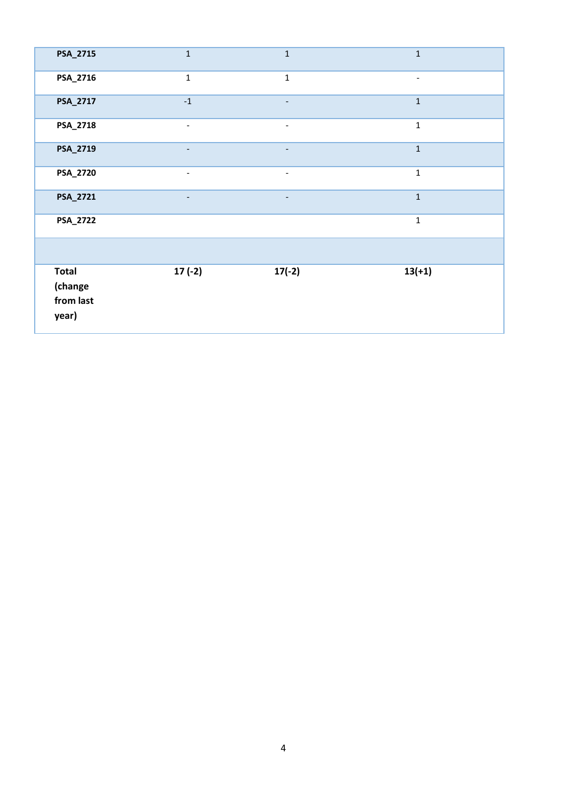| PSA_2715                                      | $\mathbf{1}$                 | $\mathbf 1$              | $\mathbf{1}$             |
|-----------------------------------------------|------------------------------|--------------------------|--------------------------|
| PSA_2716                                      | $\mathbf{1}$                 | $\mathbf{1}$             | $\overline{\phantom{0}}$ |
| PSA_2717                                      | $-1$                         | $\overline{\phantom{a}}$ | $\mathbf{1}$             |
| PSA_2718                                      | $\qquad \qquad \blacksquare$ | $\overline{\phantom{a}}$ | $\mathbf{1}$             |
| PSA_2719                                      |                              |                          | $\mathbf{1}$             |
| PSA_2720                                      | $\overline{\phantom{a}}$     | $\overline{\phantom{a}}$ | $\mathbf{1}$             |
| PSA_2721                                      | -                            | -                        | $\mathbf{1}$             |
| PSA_2722                                      |                              |                          | $\mathbf{1}$             |
|                                               |                              |                          |                          |
| <b>Total</b><br>(change<br>from last<br>year) | $17(-2)$                     | $17(-2)$                 | $13(+1)$                 |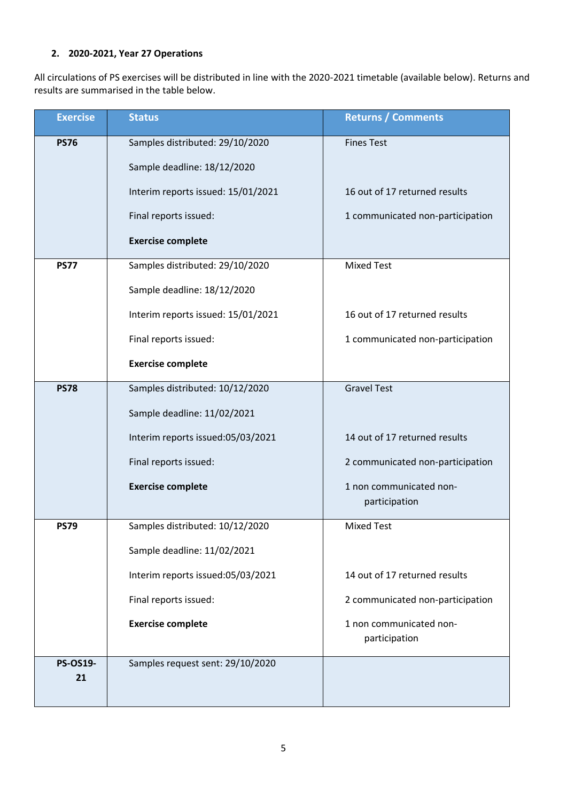# **2. 2020-2021, Year 27 Operations**

All circulations of PS exercises will be distributed in line with the 2020-2021 timetable (available below). Returns and results are summarised in the table below.

| <b>Exercise</b>       | <b>Status</b>                      | <b>Returns / Comments</b>        |
|-----------------------|------------------------------------|----------------------------------|
| <b>PS76</b>           | Samples distributed: 29/10/2020    | <b>Fines Test</b>                |
|                       | Sample deadline: 18/12/2020        |                                  |
|                       | Interim reports issued: 15/01/2021 | 16 out of 17 returned results    |
|                       | Final reports issued:              | 1 communicated non-participation |
|                       | <b>Exercise complete</b>           |                                  |
| <b>PS77</b>           | Samples distributed: 29/10/2020    | <b>Mixed Test</b>                |
|                       | Sample deadline: 18/12/2020        |                                  |
|                       | Interim reports issued: 15/01/2021 | 16 out of 17 returned results    |
|                       | Final reports issued:              | 1 communicated non-participation |
|                       | <b>Exercise complete</b>           |                                  |
| <b>PS78</b>           | Samples distributed: 10/12/2020    | <b>Gravel Test</b>               |
|                       | Sample deadline: 11/02/2021        |                                  |
|                       | Interim reports issued:05/03/2021  | 14 out of 17 returned results    |
|                       | Final reports issued:              | 2 communicated non-participation |
|                       | <b>Exercise complete</b>           | 1 non communicated non-          |
|                       |                                    | participation                    |
| <b>PS79</b>           | Samples distributed: 10/12/2020    | <b>Mixed Test</b>                |
|                       | Sample deadline: 11/02/2021        |                                  |
|                       | Interim reports issued:05/03/2021  | 14 out of 17 returned results    |
|                       | Final reports issued:              | 2 communicated non-participation |
|                       | <b>Exercise complete</b>           | 1 non communicated non-          |
|                       |                                    | participation                    |
| <b>PS-OS19-</b><br>21 | Samples request sent: 29/10/2020   |                                  |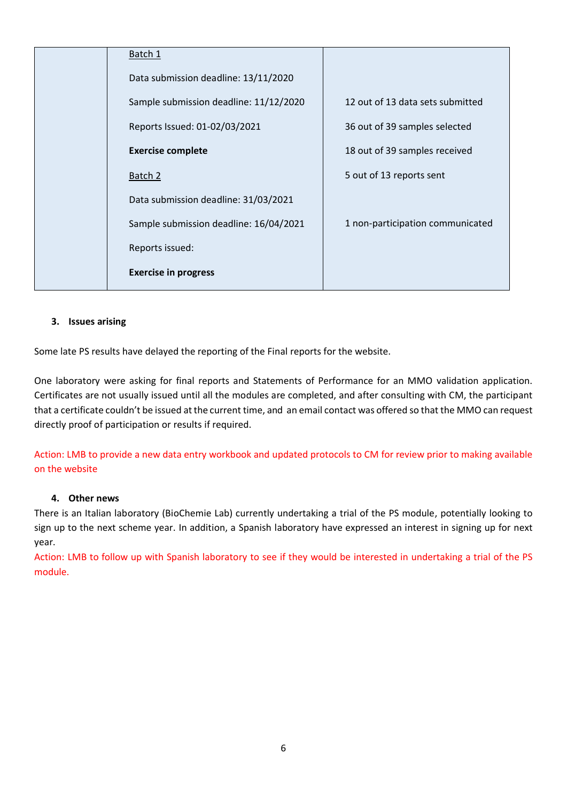| Batch 1                                |                                  |
|----------------------------------------|----------------------------------|
| Data submission deadline: 13/11/2020   |                                  |
| Sample submission deadline: 11/12/2020 | 12 out of 13 data sets submitted |
| Reports Issued: 01-02/03/2021          | 36 out of 39 samples selected    |
| <b>Exercise complete</b>               | 18 out of 39 samples received    |
| Batch 2                                | 5 out of 13 reports sent         |
| Data submission deadline: 31/03/2021   |                                  |
| Sample submission deadline: 16/04/2021 | 1 non-participation communicated |
| Reports issued:                        |                                  |
| <b>Exercise in progress</b>            |                                  |

## **3. Issues arising**

Some late PS results have delayed the reporting of the Final reports for the website.

One laboratory were asking for final reports and Statements of Performance for an MMO validation application. Certificates are not usually issued until all the modules are completed, and after consulting with CM, the participant that a certificate couldn't be issued at the current time, and an email contact was offered so that the MMO can request directly proof of participation or results if required.

Action: LMB to provide a new data entry workbook and updated protocols to CM for review prior to making available on the website

#### **4. Other news**

There is an Italian laboratory (BioChemie Lab) currently undertaking a trial of the PS module, potentially looking to sign up to the next scheme year. In addition, a Spanish laboratory have expressed an interest in signing up for next year.

Action: LMB to follow up with Spanish laboratory to see if they would be interested in undertaking a trial of the PS module.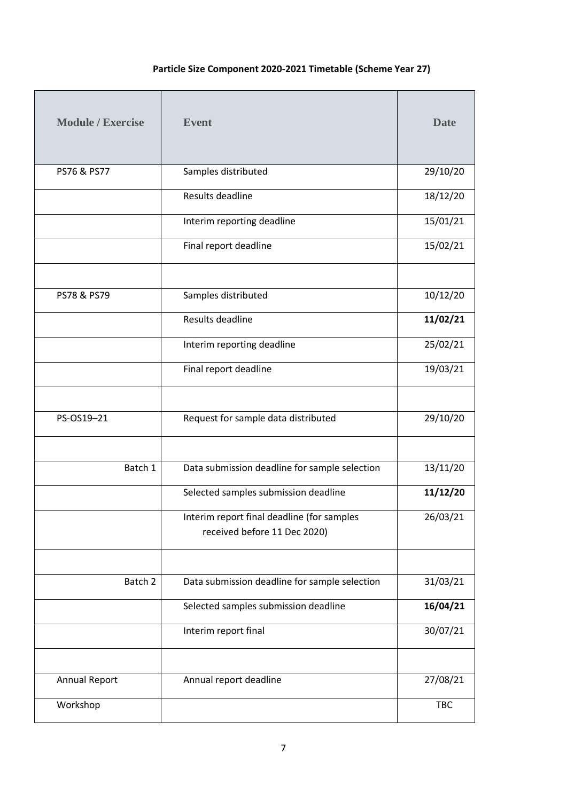# **Particle Size Component 2020-2021 Timetable (Scheme Year 27)**

| <b>Module / Exercise</b> | <b>Event</b>                                                               | <b>Date</b> |
|--------------------------|----------------------------------------------------------------------------|-------------|
| PS76 & PS77              | Samples distributed                                                        | 29/10/20    |
|                          | Results deadline                                                           | 18/12/20    |
|                          | Interim reporting deadline                                                 | 15/01/21    |
|                          | Final report deadline                                                      | 15/02/21    |
|                          |                                                                            |             |
| PS78 & PS79              | Samples distributed                                                        | 10/12/20    |
|                          | Results deadline                                                           | 11/02/21    |
|                          | Interim reporting deadline                                                 | 25/02/21    |
|                          | Final report deadline                                                      | 19/03/21    |
|                          |                                                                            |             |
| PS-OS19-21               | Request for sample data distributed                                        | 29/10/20    |
|                          |                                                                            |             |
| Batch 1                  | Data submission deadline for sample selection                              | 13/11/20    |
|                          | Selected samples submission deadline                                       | 11/12/20    |
|                          | Interim report final deadline (for samples<br>received before 11 Dec 2020) | 26/03/21    |
|                          |                                                                            |             |
| Batch 2                  | Data submission deadline for sample selection                              | 31/03/21    |
|                          | Selected samples submission deadline                                       | 16/04/21    |
|                          | Interim report final                                                       | 30/07/21    |
|                          |                                                                            |             |
| Annual Report            | Annual report deadline                                                     | 27/08/21    |
| Workshop                 |                                                                            | <b>TBC</b>  |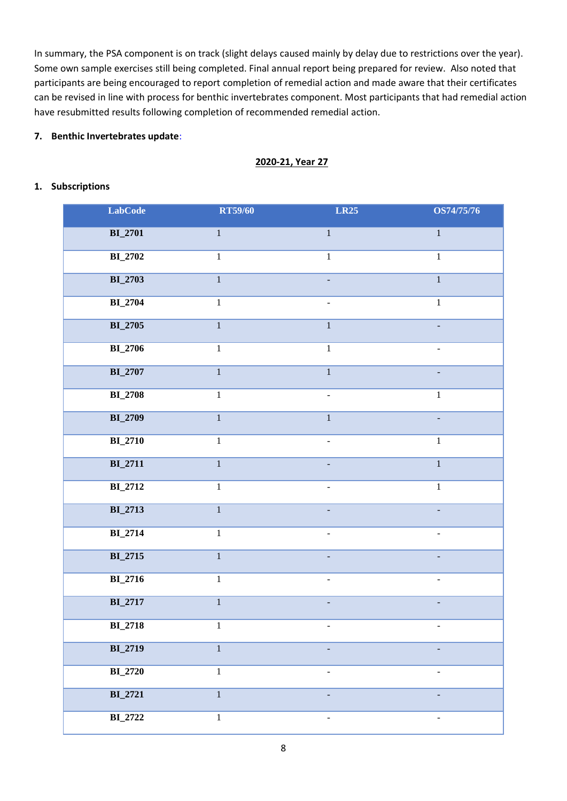In summary, the PSA component is on track (slight delays caused mainly by delay due to restrictions over the year). Some own sample exercises still being completed. Final annual report being prepared for review. Also noted that participants are being encouraged to report completion of remedial action and made aware that their certificates can be revised in line with process for benthic invertebrates component. Most participants that had remedial action have resubmitted results following completion of recommended remedial action.

#### **7. Benthic Invertebrates update**:

# **2020-21, Year 27**

#### **1. Subscriptions**

| <b>LabCode</b>        | <b>RT59/60</b> | <b>LR25</b>              | OS74/75/76               |
|-----------------------|----------------|--------------------------|--------------------------|
| <b>BI_2701</b>        | $\,1\,$        | $\,1\,$                  | $\mathbf{1}$             |
| <b>BI_2702</b>        | $\,1\,$        | $\mathbf{1}$             | $\mathbf{1}$             |
| <b>BI_2703</b>        | $\overline{1}$ | $\blacksquare$           | $\overline{1}$           |
| <b>BI_2704</b>        | $\mathbf{1}$   | $\blacksquare$           | $\mathbf{1}$             |
| <b>BI_2705</b>        | $\mathbf{1}$   | $\mathbf{1}$             | $\equiv$                 |
| $\mathbf{BI}\_{2706}$ | $\mathbf{1}$   | $\mathbf{1}$             | $\equiv$                 |
| <b>BI_2707</b>        | $\overline{1}$ | $\overline{1}$           | $\equiv$                 |
| <b>BI_2708</b>        | $\mathbf{1}$   | $\blacksquare$           | $\mathbf{1}$             |
| <b>BI_2709</b>        | $\overline{1}$ | $\mathbf{1}$             |                          |
| <b>BI_2710</b>        | $\mathbf 1$    | $\overline{\phantom{a}}$ | $\mathbf{1}$             |
| <b>BI_2711</b>        | $\overline{1}$ |                          | $\overline{1}$           |
| <b>BI_2712</b>        | $\mathbf 1$    | $\overline{a}$           | $\overline{1}$           |
| <b>BI_2713</b>        | $\mathbf 1$    |                          |                          |
| <b>BI_2714</b>        | $\,1\,$        | $\blacksquare$           | $\overline{\phantom{a}}$ |
| <b>BI_2715</b>        | $\overline{1}$ | $\blacksquare$           | $\blacksquare$           |
| <b>BI_2716</b>        | $\mathbf 1$    | $\blacksquare$           | $\blacksquare$           |
| <b>BI_2717</b>        | $\mathbf 1$    | L,                       | $\Box$                   |
| <b>BI_2718</b>        | $\mathbf 1$    | $\blacksquare$           | $\blacksquare$           |
| <b>BI_2719</b>        | $\,1$          |                          |                          |
| <b>BI_2720</b>        | $\,1\,$        | ۳                        | $\overline{\phantom{a}}$ |
| <b>BI_2721</b>        | $\,1$          | $\overline{a}$           | $\overline{\phantom{a}}$ |
| <b>BI_2722</b>        | $\,1\,$        | -                        | $\overline{\phantom{a}}$ |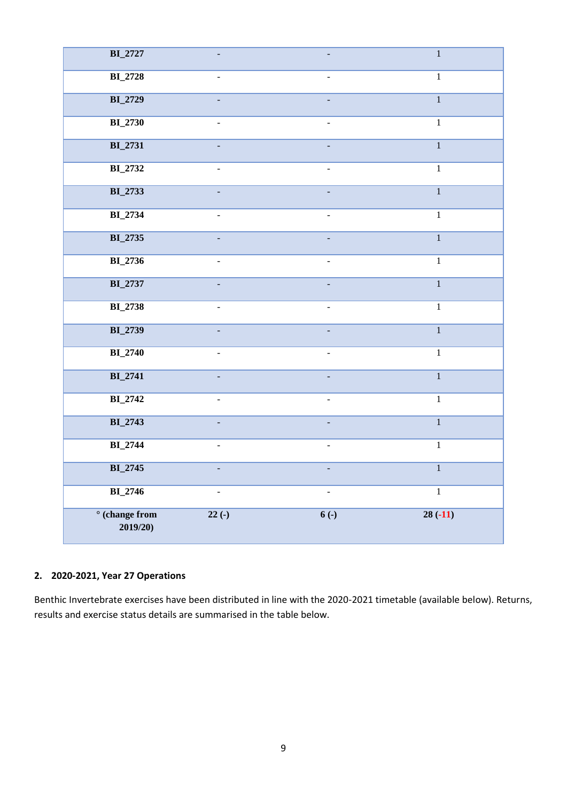| <b>BI_2727</b>                   |                                      |                          | $\overline{1}$ |
|----------------------------------|--------------------------------------|--------------------------|----------------|
| <b>BI_2728</b>                   | $\overline{\phantom{a}}$             |                          | $\overline{1}$ |
| <b>BI_2729</b>                   | $\blacksquare$                       | L,                       | $\overline{1}$ |
| <b>BI_2730</b>                   | $\frac{1}{2}$                        | $\overline{a}$           | $\overline{1}$ |
| <b>BI_2731</b>                   |                                      |                          | $\overline{1}$ |
| <b>BI_2732</b>                   | ÷,                                   | $\overline{\phantom{0}}$ | $\overline{1}$ |
| <b>BI_2733</b>                   |                                      |                          | $\overline{1}$ |
| <b>BI_2734</b>                   | $\frac{1}{2}$                        | $\overline{a}$           | $\overline{1}$ |
| <b>BI_2735</b>                   | $\overline{a}$                       |                          | $\overline{1}$ |
| <b>BI_2736</b>                   | $\blacksquare$                       | $\overline{a}$           | $\overline{1}$ |
| <b>BI_2737</b>                   | $\mathbf{r} = \mathbf{r} \mathbf{r}$ |                          | $\overline{1}$ |
| <b>BI_2738</b>                   | $\overline{a}$                       | $\overline{a}$           | $\overline{1}$ |
| <b>BI_2739</b>                   |                                      |                          | $\overline{1}$ |
| <b>BI_2740</b>                   | $\blacksquare$                       | $\overline{\phantom{a}}$ | $\overline{1}$ |
| <b>BI_2741</b>                   | $\Box$                               | $\overline{a}$           | $\overline{1}$ |
| <b>BI_2742</b>                   | ÷,                                   | $\overline{a}$           | $\mathbf 1$    |
| <b>BI_2743</b>                   | ÷,                                   | $\overline{a}$           | $\overline{1}$ |
| <b>BI_2744</b>                   | $\overline{\phantom{a}}$             | $\frac{1}{2}$            | $\overline{1}$ |
| <b>BI_2745</b>                   | $\Box$                               | $\overline{a}$           | $\overline{1}$ |
| <b>BI_2746</b>                   | $\blacksquare$                       | $\overline{\phantom{a}}$ | $\,1\,$        |
| $\circ$ (change from<br>2019/20) | $22(-)$                              | $6($ - $)$               | $28(-11)$      |

# **2. 2020-2021, Year 27 Operations**

Benthic Invertebrate exercises have been distributed in line with the 2020-2021 timetable (available below). Returns, results and exercise status details are summarised in the table below.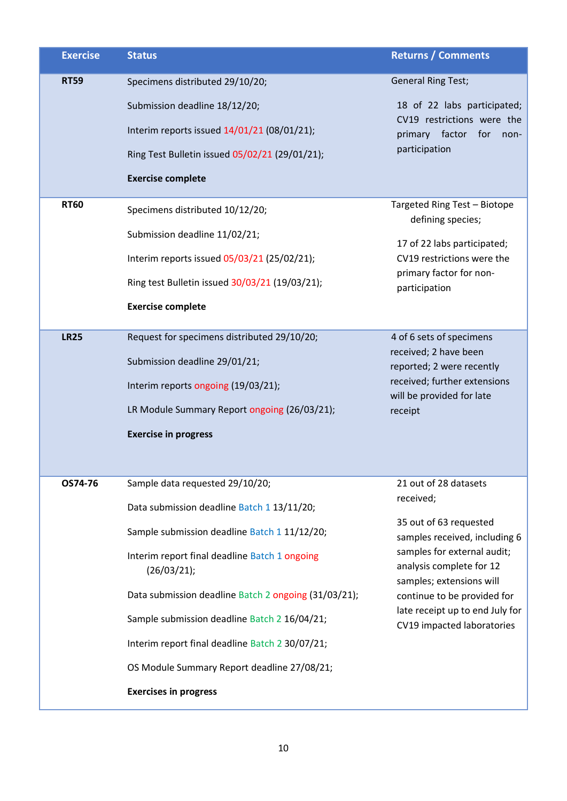| <b>Exercise</b> | <b>Status</b>                                                | <b>Returns / Comments</b>                                                           |
|-----------------|--------------------------------------------------------------|-------------------------------------------------------------------------------------|
| <b>RT59</b>     | Specimens distributed 29/10/20;                              | <b>General Ring Test;</b>                                                           |
|                 | Submission deadline 18/12/20;                                | 18 of 22 labs participated;                                                         |
|                 | Interim reports issued 14/01/21 (08/01/21);                  | CV19 restrictions were the<br>primary factor for<br>non-                            |
|                 | Ring Test Bulletin issued 05/02/21 (29/01/21);               | participation                                                                       |
|                 | <b>Exercise complete</b>                                     |                                                                                     |
| <b>RT60</b>     | Specimens distributed 10/12/20;                              | Targeted Ring Test - Biotope<br>defining species;                                   |
|                 | Submission deadline 11/02/21;                                | 17 of 22 labs participated;                                                         |
|                 | Interim reports issued 05/03/21 (25/02/21);                  | CV19 restrictions were the                                                          |
|                 | Ring test Bulletin issued 30/03/21 (19/03/21);               | primary factor for non-<br>participation                                            |
|                 | <b>Exercise complete</b>                                     |                                                                                     |
| <b>LR25</b>     | Request for specimens distributed 29/10/20;                  | 4 of 6 sets of specimens                                                            |
|                 | Submission deadline 29/01/21;                                | received; 2 have been<br>reported; 2 were recently                                  |
|                 | Interim reports ongoing (19/03/21);                          | received; further extensions<br>will be provided for late                           |
|                 | LR Module Summary Report ongoing (26/03/21);                 | receipt                                                                             |
|                 | <b>Exercise in progress</b>                                  |                                                                                     |
|                 |                                                              |                                                                                     |
| OS74-76         | Sample data requested 29/10/20;                              | 21 out of 28 datasets                                                               |
|                 | Data submission deadline Batch 1 13/11/20;                   | received;                                                                           |
|                 | Sample submission deadline Batch 1 11/12/20;                 | 35 out of 63 requested<br>samples received, including 6                             |
|                 | Interim report final deadline Batch 1 ongoing<br>(26/03/21); | samples for external audit;<br>analysis complete for 12<br>samples; extensions will |
|                 | Data submission deadline Batch 2 ongoing (31/03/21);         | continue to be provided for                                                         |
|                 | Sample submission deadline Batch 2 16/04/21;                 | late receipt up to end July for<br>CV19 impacted laboratories                       |
|                 | Interim report final deadline Batch 2 30/07/21;              |                                                                                     |
|                 | OS Module Summary Report deadline 27/08/21;                  |                                                                                     |
|                 | <b>Exercises in progress</b>                                 |                                                                                     |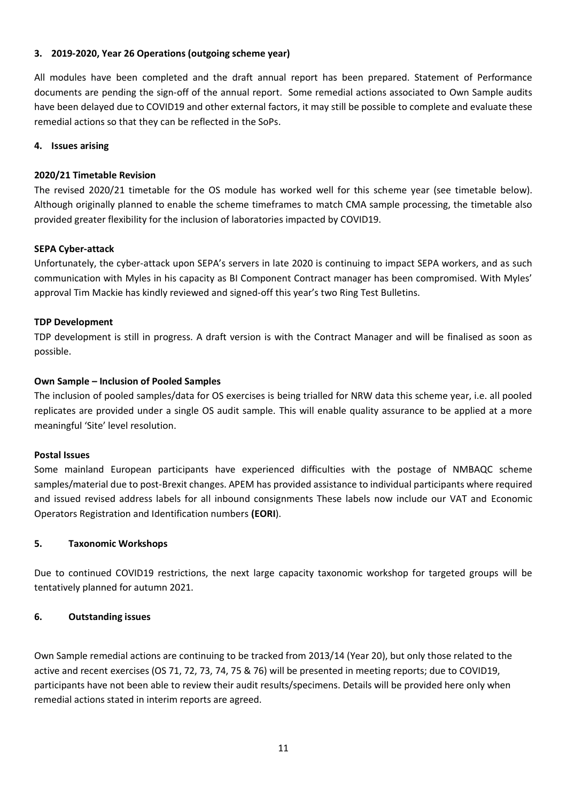## **3. 2019-2020, Year 26 Operations (outgoing scheme year)**

All modules have been completed and the draft annual report has been prepared. Statement of Performance documents are pending the sign-off of the annual report. Some remedial actions associated to Own Sample audits have been delayed due to COVID19 and other external factors, it may still be possible to complete and evaluate these remedial actions so that they can be reflected in the SoPs.

#### **4. Issues arising**

## **2020/21 Timetable Revision**

The revised 2020/21 timetable for the OS module has worked well for this scheme year (see timetable below). Although originally planned to enable the scheme timeframes to match CMA sample processing, the timetable also provided greater flexibility for the inclusion of laboratories impacted by COVID19.

## **SEPA Cyber-attack**

Unfortunately, the cyber-attack upon SEPA's servers in late 2020 is continuing to impact SEPA workers, and as such communication with Myles in his capacity as BI Component Contract manager has been compromised. With Myles' approval Tim Mackie has kindly reviewed and signed-off this year's two Ring Test Bulletins.

#### **TDP Development**

TDP development is still in progress. A draft version is with the Contract Manager and will be finalised as soon as possible.

## **Own Sample – Inclusion of Pooled Samples**

The inclusion of pooled samples/data for OS exercises is being trialled for NRW data this scheme year, i.e. all pooled replicates are provided under a single OS audit sample. This will enable quality assurance to be applied at a more meaningful 'Site' level resolution.

#### **Postal Issues**

Some mainland European participants have experienced difficulties with the postage of NMBAQC scheme samples/material due to post-Brexit changes. APEM has provided assistance to individual participants where required and issued revised address labels for all inbound consignments These labels now include our VAT and Economic Operators Registration and Identification numbers **(EORI**).

#### **5. Taxonomic Workshops**

Due to continued COVID19 restrictions, the next large capacity taxonomic workshop for targeted groups will be tentatively planned for autumn 2021.

#### **6. Outstanding issues**

Own Sample remedial actions are continuing to be tracked from 2013/14 (Year 20), but only those related to the active and recent exercises (OS 71, 72, 73, 74, 75 & 76) will be presented in meeting reports; due to COVID19, participants have not been able to review their audit results/specimens. Details will be provided here only when remedial actions stated in interim reports are agreed.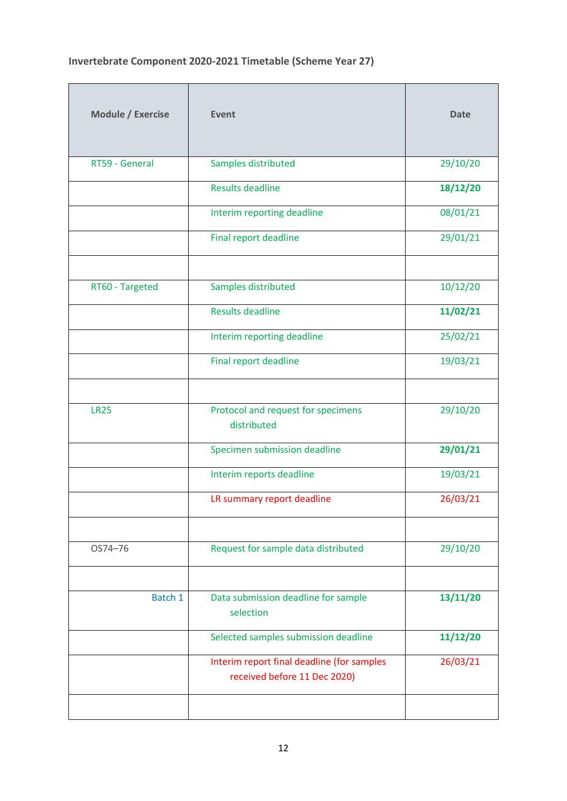# **Invertebrate Component 2020-2021 Timetable (Scheme Year 27)**

| Module / Exercise | <b>Event</b>                                                               | <b>Date</b> |
|-------------------|----------------------------------------------------------------------------|-------------|
| RT59 - General    | Samples distributed                                                        | 29/10/20    |
|                   | <b>Results deadline</b>                                                    | 18/12/20    |
|                   | Interim reporting deadline                                                 | 08/01/21    |
|                   | <b>Final report deadline</b>                                               | 29/01/21    |
|                   |                                                                            |             |
| RT60 - Targeted   | Samples distributed                                                        | 10/12/20    |
|                   | <b>Results deadline</b>                                                    | 11/02/21    |
|                   | Interim reporting deadline                                                 | 25/02/21    |
|                   | <b>Final report deadline</b>                                               | 19/03/21    |
|                   |                                                                            |             |
| <b>LR25</b>       | Protocol and request for specimens<br>distributed                          | 29/10/20    |
|                   | Specimen submission deadline                                               | 29/01/21    |
|                   | Interim reports deadline                                                   | 19/03/21    |
|                   | LR summary report deadline                                                 | 26/03/21    |
|                   |                                                                            |             |
| OS74-76           | Request for sample data distributed                                        | 29/10/20    |
|                   |                                                                            |             |
| Batch 1           | Data submission deadline for sample<br>selection                           | 13/11/20    |
|                   | Selected samples submission deadline                                       | 11/12/20    |
|                   | Interim report final deadline (for samples<br>received before 11 Dec 2020) | 26/03/21    |
|                   |                                                                            |             |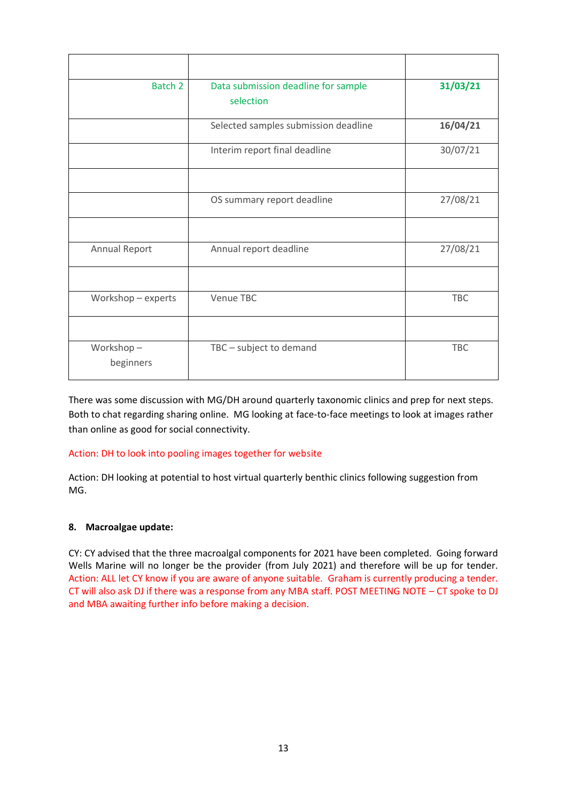| Batch 2                | Data submission deadline for sample<br>selection | 31/03/21   |
|------------------------|--------------------------------------------------|------------|
|                        | Selected samples submission deadline             | 16/04/21   |
|                        | Interim report final deadline                    | 30/07/21   |
|                        | OS summary report deadline                       | 27/08/21   |
| Annual Report          | Annual report deadline                           | 27/08/21   |
|                        |                                                  |            |
| Workshop - experts     | Venue TBC                                        | <b>TBC</b> |
|                        |                                                  |            |
| Workshop-<br>beginners | TBC - subject to demand                          | TBC        |

There was some discussion with MG/DH around quarterly taxonomic clinics and prep for next steps. Both to chat regarding sharing online. MG looking at face-to-face meetings to look at images rather than online as good for social connectivity.

# Action: DH to look into pooling images together for website

Action: DH looking at potential to host virtual quarterly benthic clinics following suggestion from MG.

#### **8. Macroalgae update:**

CY: CY advised that the three macroalgal components for 2021 have been completed. Going forward Wells Marine will no longer be the provider (from July 2021) and therefore will be up for tender. Action: ALL let CY know if you are aware of anyone suitable. Graham is currently producing a tender. CT will also ask DJ if there was a response from any MBA staff. POST MEETING NOTE – CT spoke to DJ and MBA awaiting further info before making a decision.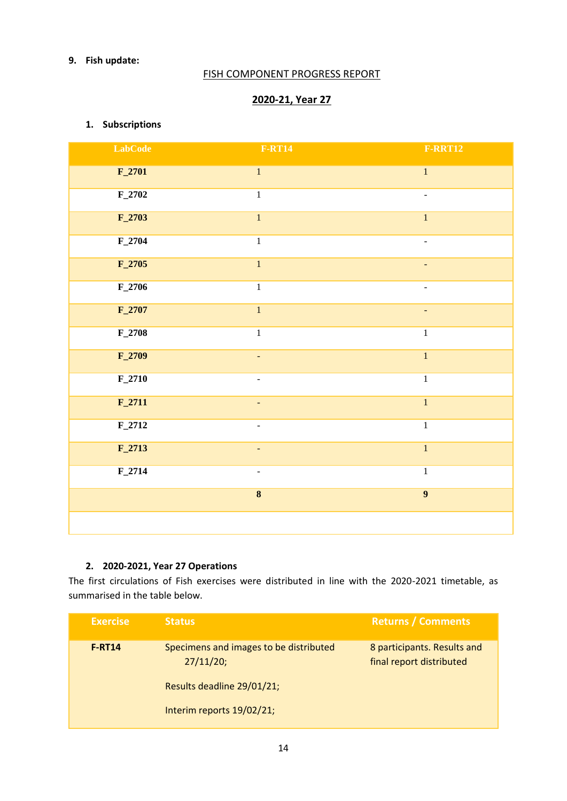# **9. Fish update:**

# FISH COMPONENT PROGRESS REPORT

# **2020-21, Year 27**

# **1. Subscriptions**

| <b>LabCode</b> | <b>F-RT14</b>            | <b>F-RRT12</b>          |
|----------------|--------------------------|-------------------------|
| $F_2$ 701      | $\overline{1}$           | $\overline{1}$          |
| $F_2$ 702      | $\,1$                    | $\blacksquare$          |
| $F_2$ 703      | $\mathbf{1}$             | $1\,$                   |
| $F_2$ 704      | $\overline{1}$           | -                       |
| $F_2705$       | $\overline{1}$           | $\Box$                  |
| $F_2$ 706      | $\,1\,$                  | $\blacksquare$          |
| $F_2$ 707      | $\overline{\mathbf{1}}$  | $\blacksquare$          |
| $F_2$ 708      | $1\,$                    | $\,1\,$                 |
| $F_2$ 2709     | $\blacksquare$           | $\overline{1}$          |
| $F_2$ 710      |                          | $\mathbf 1$             |
| $F_2$ 711      | $\blacksquare$           | $\overline{\mathbf{1}}$ |
| $F_2$ 712      | $\overline{\phantom{a}}$ | $\overline{1}$          |
| $F_2$ 713      | ÷                        | $\overline{1}$          |
| $F_2$ 714      | $\blacksquare$           | $\mathbf 1$             |
|                | $\overline{\mathbf{8}}$  | $\overline{9}$          |
|                |                          |                         |

# **2. 2020-2021, Year 27 Operations**

The first circulations of Fish exercises were distributed in line with the 2020-2021 timetable, as summarised in the table below.

| <b>Exercise</b> | <b>Status</b>                                       | <b>Returns / Comments</b>                               |
|-----------------|-----------------------------------------------------|---------------------------------------------------------|
| <b>F-RT14</b>   | Specimens and images to be distributed<br>27/11/20; | 8 participants. Results and<br>final report distributed |
|                 | Results deadline 29/01/21;                          |                                                         |
|                 | Interim reports 19/02/21;                           |                                                         |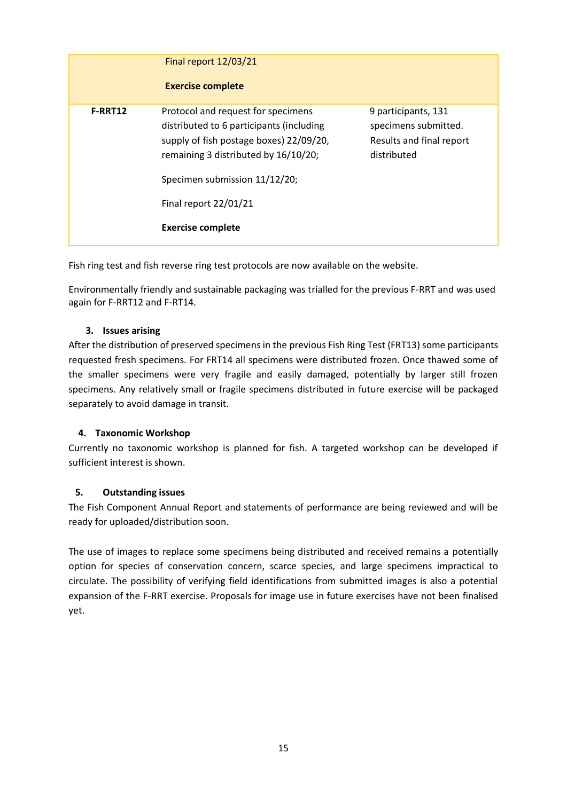|                | Final report 12/03/21<br><b>Exercise complete</b>                                                                                                                                                                                                       |                                                                                        |
|----------------|---------------------------------------------------------------------------------------------------------------------------------------------------------------------------------------------------------------------------------------------------------|----------------------------------------------------------------------------------------|
| <b>F-RRT12</b> | Protocol and request for specimens<br>distributed to 6 participants (including<br>supply of fish postage boxes) 22/09/20,<br>remaining 3 distributed by 16/10/20;<br>Specimen submission 11/12/20;<br>Final report 22/01/21<br><b>Exercise complete</b> | 9 participants, 131<br>specimens submitted.<br>Results and final report<br>distributed |

Fish ring test and fish reverse ring test protocols are now available on the website.

Environmentally friendly and sustainable packaging was trialled for the previous F-RRT and was used again for F-RRT12 and F-RT14.

#### **3. Issues arising**

After the distribution of preserved specimens in the previous Fish Ring Test (FRT13) some participants requested fresh specimens. For FRT14 all specimens were distributed frozen. Once thawed some of the smaller specimens were very fragile and easily damaged, potentially by larger still frozen specimens. Any relatively small or fragile specimens distributed in future exercise will be packaged separately to avoid damage in transit.

# **4. Taxonomic Workshop**

Currently no taxonomic workshop is planned for fish. A targeted workshop can be developed if sufficient interest is shown.

# **5. Outstanding issues**

The Fish Component Annual Report and statements of performance are being reviewed and will be ready for uploaded/distribution soon.

The use of images to replace some specimens being distributed and received remains a potentially option for species of conservation concern, scarce species, and large specimens impractical to circulate. The possibility of verifying field identifications from submitted images is also a potential expansion of the F-RRT exercise. Proposals for image use in future exercises have not been finalised yet.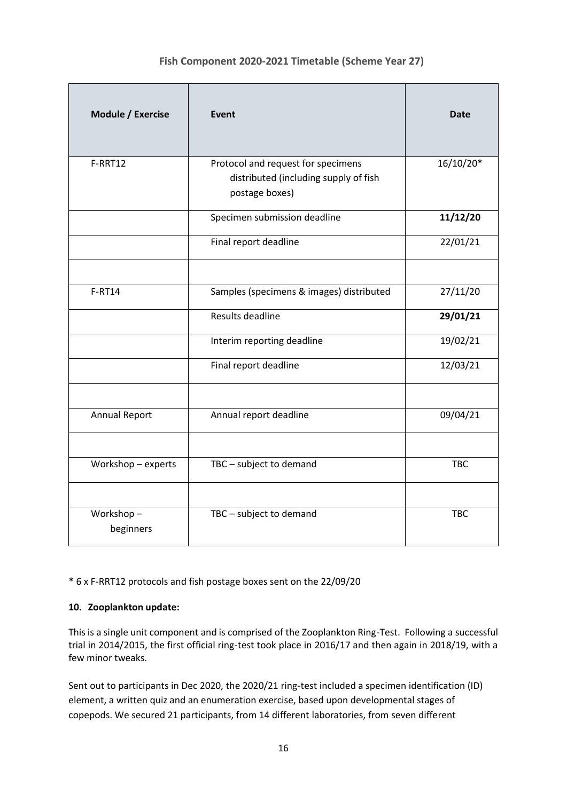# **Fish Component 2020-2021 Timetable (Scheme Year 27)**

| Module / Exercise      | <b>Event</b>                                                                                  | Date       |
|------------------------|-----------------------------------------------------------------------------------------------|------------|
| F-RRT12                | Protocol and request for specimens<br>distributed (including supply of fish<br>postage boxes) | 16/10/20*  |
|                        | Specimen submission deadline                                                                  | 11/12/20   |
|                        | Final report deadline                                                                         | 22/01/21   |
| <b>F-RT14</b>          | Samples (specimens & images) distributed                                                      | 27/11/20   |
|                        | Results deadline                                                                              | 29/01/21   |
|                        | Interim reporting deadline                                                                    | 19/02/21   |
|                        | Final report deadline                                                                         | 12/03/21   |
|                        |                                                                                               |            |
| <b>Annual Report</b>   | Annual report deadline                                                                        | 09/04/21   |
|                        |                                                                                               |            |
| Workshop - experts     | TBC - subject to demand                                                                       | TBC        |
|                        |                                                                                               |            |
| Workshop-<br>beginners | TBC - subject to demand                                                                       | <b>TBC</b> |

\* 6 x F-RRT12 protocols and fish postage boxes sent on the 22/09/20

# **10. Zooplankton update:**

This is a single unit component and is comprised of the Zooplankton Ring-Test. Following a successful trial in 2014/2015, the first official ring-test took place in 2016/17 and then again in 2018/19, with a few minor tweaks.

Sent out to participants in Dec 2020, the 2020/21 ring-test included a specimen identification (ID) element, a written quiz and an enumeration exercise, based upon developmental stages of copepods. We secured 21 participants, from 14 different laboratories, from seven different